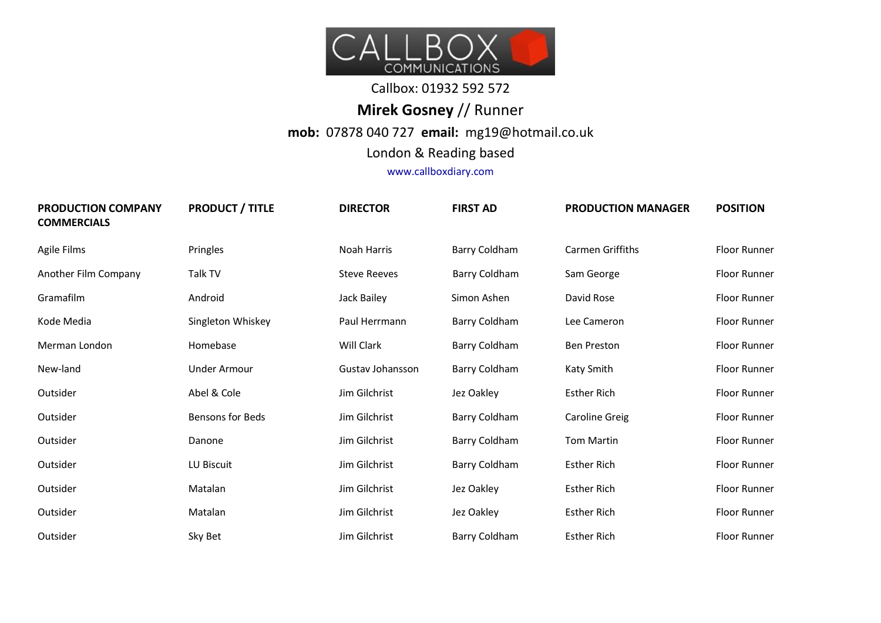

## Callbox: 01932 592 572

## **Mirek Gosney** // Runner **mob:** 07878 040 727 **email:** mg19@hotmail.co.uk

London & Reading based

www.callboxdiary.com

| <b>PRODUCTION COMPANY</b><br><b>COMMERCIALS</b> | <b>PRODUCT / TITLE</b>  | <b>DIRECTOR</b>     | <b>FIRST AD</b> | <b>PRODUCTION MANAGER</b> | <b>POSITION</b>     |
|-------------------------------------------------|-------------------------|---------------------|-----------------|---------------------------|---------------------|
| Agile Films                                     | Pringles                | Noah Harris         | Barry Coldham   | Carmen Griffiths          | <b>Floor Runner</b> |
| Another Film Company                            | Talk TV                 | <b>Steve Reeves</b> | Barry Coldham   | Sam George                | <b>Floor Runner</b> |
| Gramafilm                                       | Android                 | Jack Bailey         | Simon Ashen     | David Rose                | <b>Floor Runner</b> |
| Kode Media                                      | Singleton Whiskey       | Paul Herrmann       | Barry Coldham   | Lee Cameron               | Floor Runner        |
| Merman London                                   | Homebase                | Will Clark          | Barry Coldham   | Ben Preston               | <b>Floor Runner</b> |
| New-land                                        | Under Armour            | Gustav Johansson    | Barry Coldham   | Katy Smith                | <b>Floor Runner</b> |
| Outsider                                        | Abel & Cole             | Jim Gilchrist       | Jez Oakley      | <b>Esther Rich</b>        | <b>Floor Runner</b> |
| Outsider                                        | <b>Bensons for Beds</b> | Jim Gilchrist       | Barry Coldham   | Caroline Greig            | <b>Floor Runner</b> |
| Outsider                                        | Danone                  | Jim Gilchrist       | Barry Coldham   | <b>Tom Martin</b>         | <b>Floor Runner</b> |
| Outsider                                        | LU Biscuit              | Jim Gilchrist       | Barry Coldham   | <b>Esther Rich</b>        | Floor Runner        |
| Outsider                                        | Matalan                 | Jim Gilchrist       | Jez Oakley      | <b>Esther Rich</b>        | <b>Floor Runner</b> |
| Outsider                                        | Matalan                 | Jim Gilchrist       | Jez Oakley      | <b>Esther Rich</b>        | <b>Floor Runner</b> |
| Outsider                                        | Sky Bet                 | Jim Gilchrist       | Barry Coldham   | <b>Esther Rich</b>        | <b>Floor Runner</b> |